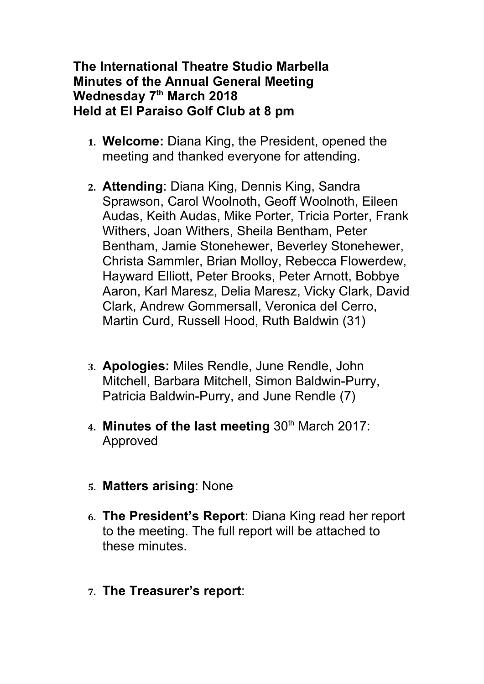## **The International Theatre Studio Marbella Minutes of the Annual General Meeting Wednesday 7th March 2018 Held at El Paraiso Golf Club at 8 pm**

- **1. Welcome:** Diana King, the President, opened the meeting and thanked everyone for attending.
- **2. Attending**: Diana King, Dennis King, Sandra Sprawson, Carol Woolnoth, Geoff Woolnoth, Eileen Audas, Keith Audas, Mike Porter, Tricia Porter, Frank Withers, Joan Withers, Sheila Bentham, Peter Bentham, Jamie Stonehewer, Beverley Stonehewer, Christa Sammler, Brian Molloy, Rebecca Flowerdew, Hayward Elliott, Peter Brooks, Peter Arnott, Bobbye Aaron, Karl Maresz, Delia Maresz, Vicky Clark, David Clark, Andrew Gommersall, Veronica del Cerro, Martin Curd, Russell Hood, Ruth Baldwin (31)
- **3. Apologies:** Miles Rendle, June Rendle, John Mitchell, Barbara Mitchell, Simon Baldwin-Purry, Patricia Baldwin-Purry, and June Rendle (7)
- 4. Minutes of the last meeting 30<sup>th</sup> March 2017: Approved
- **5. Matters arising**: None
- **6. The President's Report**: Diana King read her report to the meeting. The full report will be attached to these minutes.
- **7. The Treasurer's report**: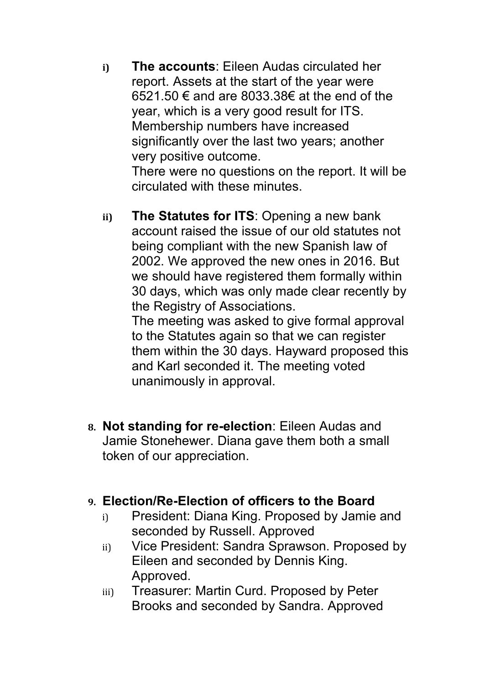**i) The accounts**: Eileen Audas circulated her report. Assets at the start of the year were 6521.50 € and are 8033.38€ at the end of the year, which is a very good result for ITS. Membership numbers have increased significantly over the last two years; another very positive outcome.

There were no questions on the report. It will be circulated with these minutes.

**ii) The Statutes for ITS**: Opening a new bank account raised the issue of our old statutes not being compliant with the new Spanish law of 2002. We approved the new ones in 2016. But we should have registered them formally within 30 days, which was only made clear recently by the Registry of Associations.

The meeting was asked to give formal approval to the Statutes again so that we can register them within the 30 days. Hayward proposed this and Karl seconded it. The meeting voted unanimously in approval.

**8. Not standing for re-election**: Eileen Audas and Jamie Stonehewer. Diana gave them both a small token of our appreciation.

## **9. Election/Re-Election of officers to the Board**

- i) President: Diana King. Proposed by Jamie and seconded by Russell. Approved
- ii) Vice President: Sandra Sprawson. Proposed by Eileen and seconded by Dennis King. Approved.
- iii) Treasurer: Martin Curd. Proposed by Peter Brooks and seconded by Sandra. Approved